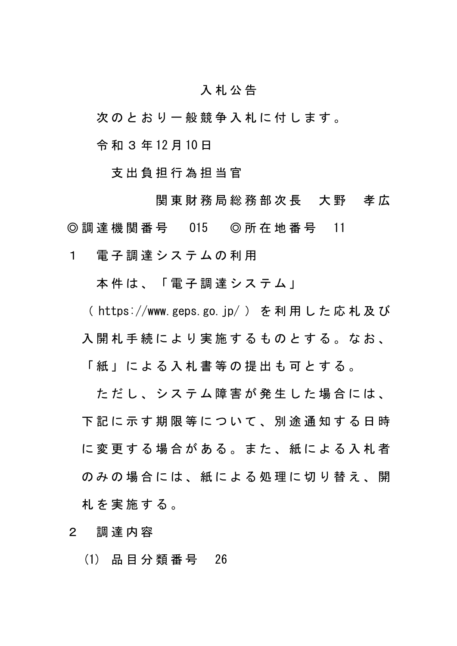## 入 札 公 告

次 の と お り 一 般 競 争 入 札 に 付 し ま す 。

令 和 3 年 12 月 10 日

支 出 負 担 行 為 担 当 官

関 東 財 務 局 総 務 部 次 長 大 野 孝 広 ◎ 調 達 機 関 番 号 015 ◎ 所 在 地 番 号 11

1 電子調達システムの利用

本件は、「電子調達システム」

( https://www.geps.go.jp/ ) を 利 用 し た 応 札 及 び

入開 札 手 続 に よ り 実 施 す る も の と す る 。 な お 、

「 紙 」 に よ る 入 札 書 等 の 提 出 も 可 と す る 。

ただし、システム障害が発生した場合には、 下 記 に 示 す 期 限 等 に つ い て 、 別 途 通 知 す る 日 時 に 変 更 す る 場 合 が あ る 。 ま た 、 紙 に よ る 入 札 者 のみの場合には、紙による処理に切り替え、開 札 を 実 施 す る 。

2 調 達 内 容

(1) 品 目 分 類 番 号 26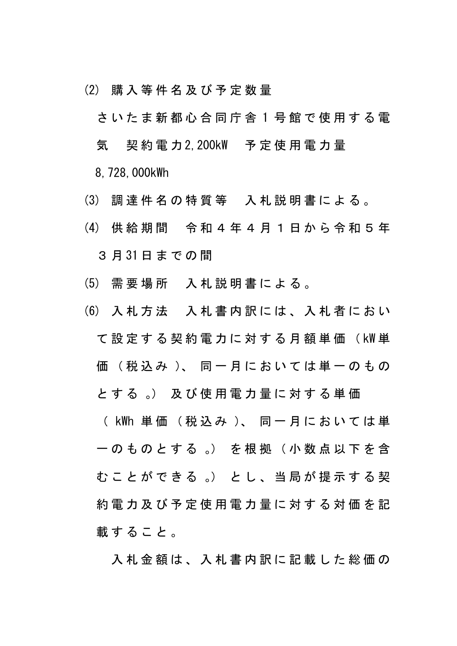(2) 購 入 等 件 名 及 び 予 定 数 量

さ い た ま 新 都 心 合 同 庁 舎 1 号 館 で 使 用 す る 電 気 契 約 電 力 2,200kW 予 定 使 用 電 力 量 8,728,000kWh

- (3) 調 達 件 名 の 特 質 等 入 札 説 明 書 に よ る 。
- (4) 供 給 期 間 令 和 4 年 4 月 1 日 か ら 令 和 5 年 3 月 31 日 ま で の 間
- (5) 需 要 場 所 入 札 説 明 書 に よ る 。
- (6) 入 札 方 法 入 札 書 内 訳 に は 、 入 札 者 に お い て 設 定 す る 契 約 電 力 に 対 す る 月 額 単 価 ( kW 単 価 (税 込 み )、 同 一 月 に お い て は 単 一 の も の と す る 。) 及 び 使 用 電 力 量 に 対 す る 単 価 ( kWh 単 価 ( 税 込 み )、 同 一 月 に お い て は 単 一 の も の と す る 。) を 根 拠 ( 小 数 点 以 下 を 含 む こ と が で き る 。) と し 、 当 局 が 提 示 す る 契 約 電 力 及 び 予 定 使 用 電 力 量 に 対 す る 対 価 を 記 載すること。

入札金額は、入札書内訳に記載した総価の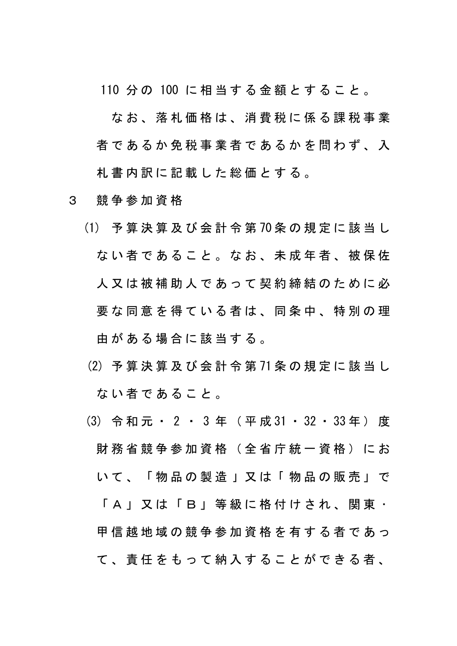110 分 の 100 に 相 当 す る 金 額 と す る こ と 。

な お 、 落 札 価 格 は 、 消 費 税 に 係 る 課 税 事 業 者 で あ る か 免 税 事 業 者 で あ る か を 問 わ ず 、 入 札 書 内 訳 に 記 載 し た 総 価 と す る 。

- 3 競 争 参 加 資 格
	- (1) 予 算 決 算 及 び 会 計 令 第 70 条 の 規 定 に 該 当 し な い 者 で あ る こ と 。 な お 、 未 成 年 者 、 被 保 佐 人 又 は 被 補 助 人 で あ っ て 契 約 締 結 の た め に 必 要 な 同 意 を 得 て い る 者 は 、 同 条 中 、 特 別 の 理 由 が あ る 場 合 に 該 当 す る 。
	- (2) 予 算 決 算 及 び 会 計 令 第 71 条 の 規 定 に 該 当 し な い 者 で あ る こ と 。
	- (3) 令 和 元 ・ 2 ・ 3 年 ( 平 成 31 ・ 32 ・ 33 年 ) 度 財 務 省 競 争 参 加 資 格 ( 全 省 庁 統 一 資 格 ) に お い て 、 「 物 品 の 製 造 」 又 は 「 物 品 の 販 売 」 で 「 A 」 又 は 「 B 」 等 級 に 格 付 け さ れ 、 関 東 ・ 甲信 越 地 域 の 競 争 参 加 資 格 を 有 す る 者 で あ っ て 、 責 任 を も っ て 納 入 す る こ と が で き る 者 、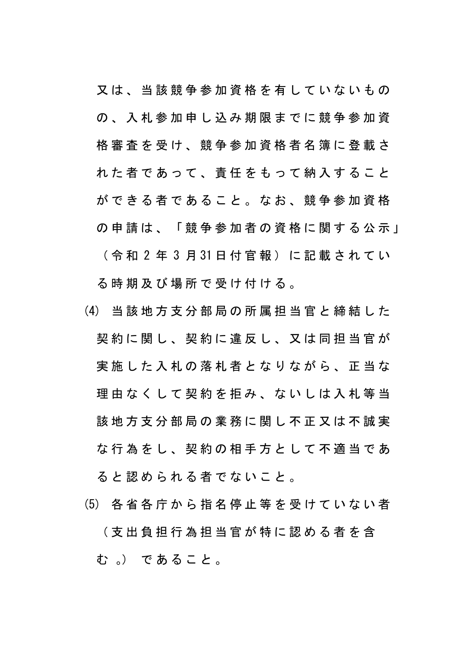又は、当該競争参加資格を有していないもの の 、 入 札 参 加 申 し 込 み 期 限 ま で に 競 争 参 加 資 格 審 査 を 受 け 、 競 争 参 加 資 格 者 名 簿 に 登 載 さ れ た 者 で あ っ て 、 青 任 を も っ て 納 入 す る こ と が で き る 者 で あ る こ と 。 な お 、 競 争 参 加 資 格 の 申 請 は 、 「 競 争 参 加 者 の 資 格 に 関 す る 公 示 」 ( 令 和 2 年 3 月 31 日 付 官 報 ) に 記 載 さ れ て い る 時 期 及 び 場 所 で 受 け 付 け る 。

- (4) 当 該 地 方 支 分 部 局 の 所 属 担 当 官 と 締 結 し た 契約に関し、契約に違反し、又は同担当官が 実 施 し た 入 札 の 落 札 者 と な り な が ら 、 正 当 な 理由なくして契約を拒み、ないしは入札等当 該 地 方 支 分 部 局 の 業 務 に 関 し 不 正 又 は 不 誠 実 な行為をし、契約の相手方として不適当であ ると認められる者でないこと。
- (5) 各 省 各 庁 か ら 指 名 停 止 等 を 受 け て い な い 者

( 支 出 負 担 行 為 担 当 官 が 特 に 認 め る 者 を 含 む 。) で あ る こ と 。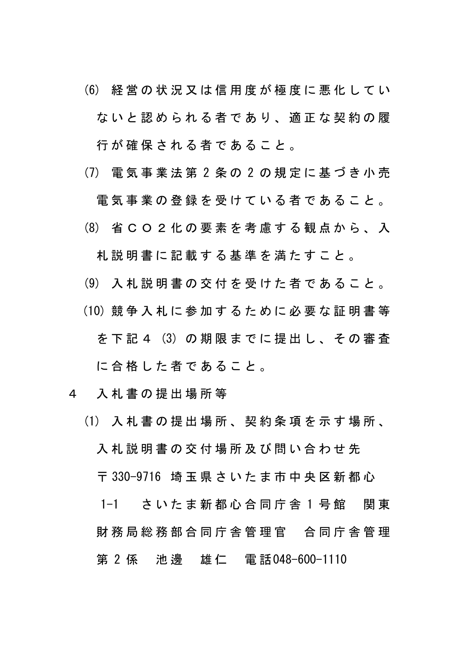- (6) 経 営 の 状 況 又 は 信 用 度 が 極 度 に 悪 化 し て い な い と 認 め ら れ る 者 で あ り 、 適 正 な 契 約 の 履 行 が 確 保 さ れ る 者 で あ る こ と 。
- (7) 電 気 事 業 法 第 2 条 の 2 の 規 定 に 基 づ き 小 売

電気事業の登録を受けている者であること。

(8) 省 C O 2 化 の 要 素 を 考 慮 す る 観 点 か ら 、 入

札 説 明 書 に 記 載 す る 基 準 を 満 た す こ と 。

- (9) 入 札 説 明 書 の 交 付 を 受 け た 者 で あ る こ と 。
- (10) 競 争 入 札 に 参 加 す る た め に 必 要 な 証 明 書 等
	- を 下 記 4 (3) の 期 限 ま で に 提 出 し 、 そ の 審 査

に合格した者であること。

- 4 入 札 書 の 提 出 場 所 等
	- (1) 入 札 書 の 提 出 場 所 、 契 約 条 項 を 示 す 場 所 、 入 札 説 明 書 の 交 付 場 所 及 び 問 い 合 わ せ 先 〒 330-9716 埼 玉 県 さ い た ま 市 中 央 区 新 都 心 1-1 さいたま新都心合同庁舎1号館 関東 財 務 局 総 務 部 合 同 庁 舎 管 理 官 合 同 庁 舎 管 理 第 2 係 池 邊 雄 仁 電話048-600-1110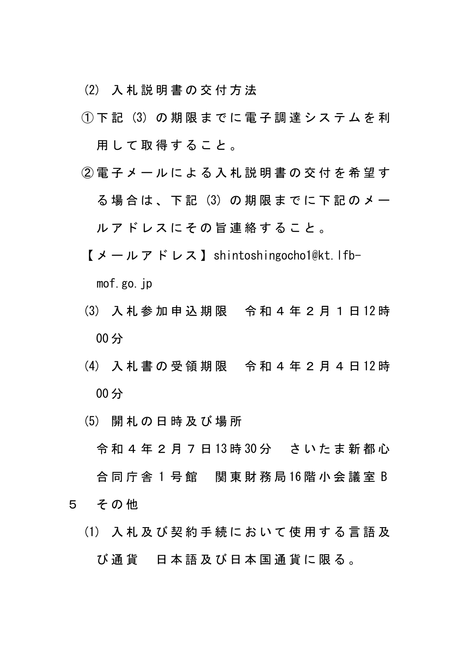(2) 入 札 説 明 書 の 交 付 方 法

- $(1)$  下記 (3) の期限までに電子調達システムを利 用 し て 取 得 す る こ と 。
- ② 電 子 メ ー ル に よ る 入 札 説 明 書 の 交 付 を 希 望 す る 場 合 は 、 下 記 (3) の 期 限 ま で に 下 記 の メ ー ル ア ド レ ス に そ の 旨 連 絡 す る こ と 。
	- 【 メ ー ル ア ド レ ス 】shintoshingocho1@kt.lfb-

mof.go.jp

- (3) 入 札 参 加 申 込 期 限 令 和 4 年 2 月 1 日 12 時 00 分
- (4) 入 札 書 の 受 領 期 限 令 和 4 年 2 月 4 日 12 時 00 分
- (5) 開 札 の 日 時 及 び 場 所
- 令 和 4 年 2 月 7 日 13 時 30 分 さ い た ま 新 都 心 合 同 庁 舎 1 号 館 関 東 財 務 局 16 階 小 会 議 室 B 5 その他
	- (1) 入 札 及 び 契 約 手 続 に お い て 使 用 す る 言 語 及 び 通 貨 日 本 語 及 び 日 本 国 通 貨 に 限 る 。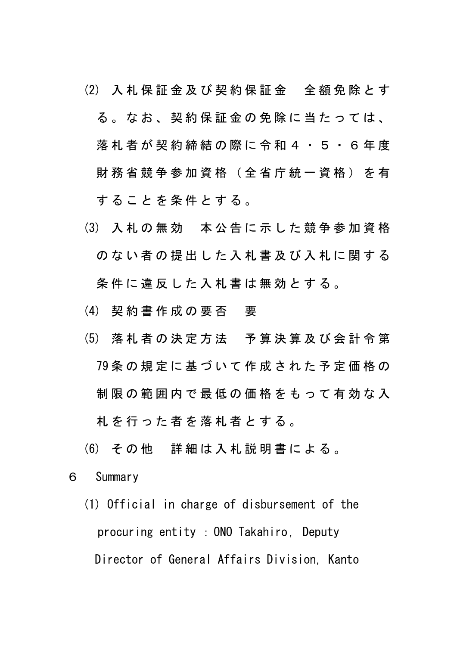- (2) 入 札 保 証 金 及 び 契 約 保 証 金 全 額 免 除 と す る 。 な お 、 契 約 保 証 金 の 免 除 に 当 た っ て は 、 落 札 者 が 契 約 締 結 の 際 に 令 和 4 ・ 5 ・ 6 年 度 財 務 省 競 争 参 加 資 格 ( 全 省 庁 統 一 資 格 ) を 有 す る こ と を 条 件 と す る 。
- (3) 入 札 の 無 効 本 公 告 に 示 し た 競 争 参 加 資 格 の な い 者 の 提 出 し た 入 札 書 及 び 入 札 に 関 す る 条件に違反した入札書は無効とする。
- (4) 契約書作成の要否 要
- (5) 落 札 者 の 決 定 方 法 予 算 決 算 及 び 会 計 令 第 79 条 の 規 定 に 基 づ い て 作 成 さ れ た 予 定 価 格 の 制 限 の 範 囲 内 で 最 低 の 価 格 を も っ て 有 効 な 入 札 を 行 っ た 者 を 落 札 者 と す る 。
- (6) そ の 他 詳 細 は 入 札 説 明 書 に よ る 。
- 6 Summary
	- (1) Official in charge of disbursement of the procuring entity : ONO Takahiro, Deputy Director of General Affairs Division, Kanto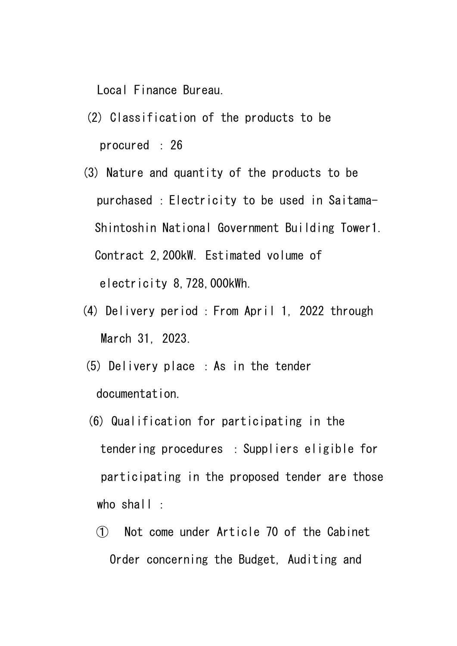Local Finance Bureau.

- (2) Classification of the products to be procured : 26
- (3) Nature and quantity of the products to be purchased :Electricity to be used in Saitama-Shintoshin National Government Building Tower1. Contract 2,200kW. Estimated volume of electricity 8,728,000kWh.
- (4) Delivery period : From April 1, 2022 through March 31, 2023.
- (5) Delivery place :As in the tender documentation.
- (6) Qualification for participating in the tendering procedures :Suppliers eligible for participating in the proposed tender are those who shall :
	- ① Not come under Article 70 of the Cabinet Order concerning the Budget, Auditing and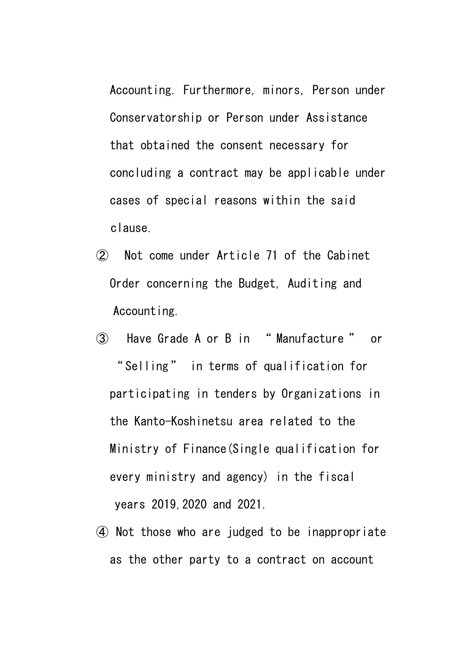Accounting. Furthermore, minors, Person under Conservatorship or Person under Assistance that obtained the consent necessary for concluding a contract may be applicable under cases of special reasons within the said clause.

- ② Not come under Article 71 of the Cabinet Order concerning the Budget, Auditing and Accounting.
- ③ Have Grade A or B in " Manufacture " or " Selling" in terms of qualification for participating in tenders by Organizations in the Kanto-Koshinetsu area related to the Ministry of Finance(Single qualification for every ministry and agency) in the fiscal years 2019,2020 and 2021.
- ④ Not those who are judged to be inappropriate as the other party to a contract on account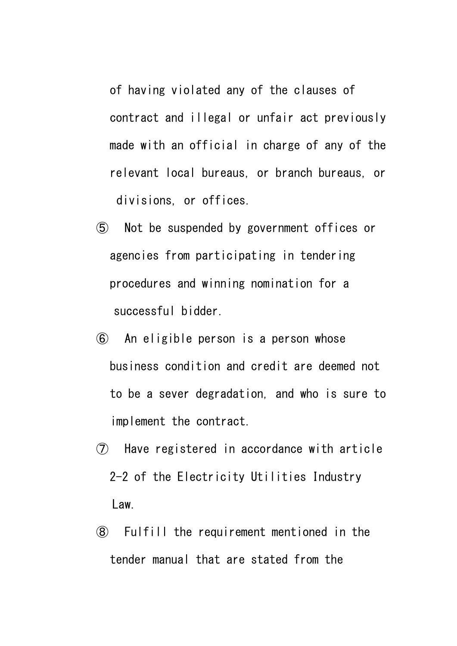of having violated any of the clauses of contract and illegal or unfair act previously made with an official in charge of any of the relevant local bureaus, or branch bureaus, or divisions, or offices.

- ⑤ Not be suspended by government offices or agencies from participating in tendering procedures and winning nomination for a successful bidder.
- ⑥ An eligible person is a person whose business condition and credit are deemed not to be a sever degradation, and who is sure to implement the contract.
- ⑦ Have registered in accordance with article 2-2 of the Electricity Utilities Industry Law.
- ⑧ Fulfill the requirement mentioned in the tender manual that are stated from the